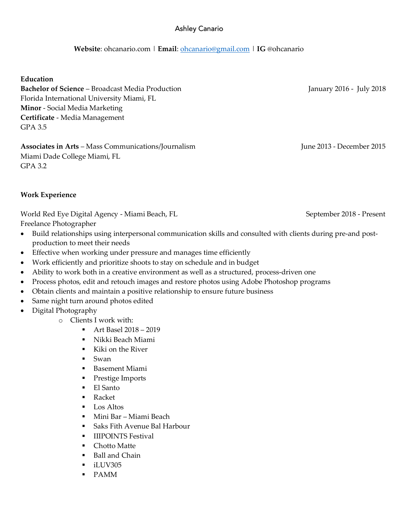# Ashley Canario

#### **Website**: ohcanario.com | **Email**: ohcanario@gmail.com | **IG** @ohcanario

**Education**

**Bachelor of Science** – Broadcast Media Production January 2016 - July 2018 Florida International University Miami, FL **Minor** - Social Media Marketing **Certificate** - Media Management GPA 3.5

**Associates in Arts** – Mass Communications/Journalism June 2013 - December 2015 Miami Dade College Miami, FL GPA 3.2

**Work Experience**

World Red Eye Digital Agency - Miami Beach, FL September 2018 - Present Freelance Photographer

- Build relationships using interpersonal communication skills and consulted with clients during pre-and postproduction to meet their needs
- Effective when working under pressure and manages time efficiently
- Work efficiently and prioritize shoots to stay on schedule and in budget
- Ability to work both in a creative environment as well as a structured, process-driven one
- Process photos, edit and retouch images and restore photos using Adobe Photoshop programs
- Obtain clients and maintain a positive relationship to ensure future business
- Same night turn around photos edited
- Digital Photography
	- o Clients I work with:
		- § Art Basel 2018 2019
		- § Nikki Beach Miami
		- Kiki on the River
		- Swan
		- Basement Miami
		- Prestige Imports
		- El Santo
		- Racket
		- Los Altos
		- Mini Bar Miami Beach
		- Saks Fith Avenue Bal Harbour
		- § IIIPOINTS Festival
		- Chotto Matte
		- Ball and Chain
		- § iLUV305
		- § PAMM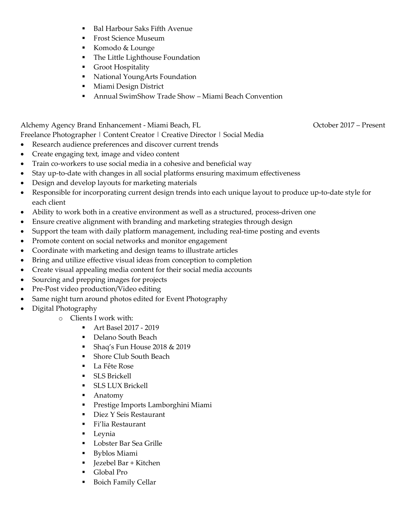- Bal Harbour Saks Fifth Avenue
- Frost Science Museum
- Komodo & Lounge
- The Little Lighthouse Foundation
- Groot Hospitality
- National YoungArts Foundation
- Miami Design District
- Annual SwimShow Trade Show Miami Beach Convention

Alchemy Agency Brand Enhancement - Miami Beach, FL October 2017 – Present Freelance Photographer | Content Creator | Creative Director | Social Media

- Research audience preferences and discover current trends
- Create engaging text, image and video content
- Train co-workers to use social media in a cohesive and beneficial way
- Stay up-to-date with changes in all social platforms ensuring maximum effectiveness
- Design and develop layouts for marketing materials
- Responsible for incorporating current design trends into each unique layout to produce up-to-date style for each client
- Ability to work both in a creative environment as well as a structured, process-driven one
- Ensure creative alignment with branding and marketing strategies through design
- Support the team with daily platform management, including real-time posting and events
- Promote content on social networks and monitor engagement
- Coordinate with marketing and design teams to illustrate articles
- Bring and utilize effective visual ideas from conception to completion
- Create visual appealing media content for their social media accounts
- Sourcing and prepping images for projects
- Pre-Post video production/Video editing
- Same night turn around photos edited for Event Photography
- Digital Photography
	- o Clients I work with:
		- § Art Basel 2017 2019
		- Delano South Beach
		- § Shaq's Fun House 2018 & 2019
		- Shore Club South Beach
		- La Fête Rose
		- § SLS Brickell
		- § SLS LUX Brickell
		- Anatomy
		- § Prestige Imports Lamborghini Miami
		- Diez Y Seis Restaurant
		- Fi'lia Restaurant
		- Leynia
		- Lobster Bar Sea Grille
		- Byblos Miami
		- Jezebel Bar + Kitchen
		- Global Pro
		- Boich Family Cellar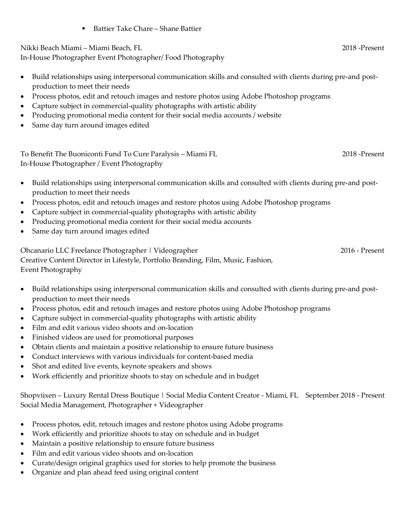§ Battier Take Chare – Shane Battier

Nikki Beach Miami – Miami Beach, FL 2018 -Present

In-House Photographer Event Photographer/ Food Photography

- Build relationships using interpersonal communication skills and consulted with clients during pre-and postproduction to meet their needs
- Process photos, edit and retouch images and restore photos using Adobe Photoshop programs
- Capture subject in commercial-quality photographs with artistic ability
- Producing promotional media content for their social media accounts / website
- Same day turn around images edited

To Benefit The Buoniconti Fund To Cure Paralysis – Miami FL 2018 -Present In-House Photographer / Event Photography

- Build relationships using interpersonal communication skills and consulted with clients during pre-and postproduction to meet their needs
- Process photos, edit and retouch images and restore photos using Adobe Photoshop programs
- Capture subject in commercial-quality photographs with artistic ability
- Producing promotional media content for their social media accounts
- Same day turn around images edited

Ohcanario LLC Freelance Photographer | Videographer 2016 - Present Creative Content Director in Lifestyle, Portfolio Branding, Film, Music, Fashion, Event Photography

- Build relationships using interpersonal communication skills and consulted with clients during pre-and postproduction to meet their needs
- Process photos, edit and retouch images and restore photos using Adobe Photoshop programs
- Capture subject in commercial-quality photographs with artistic ability
- Film and edit various video shoots and on-location
- Finished videos are used for promotional purposes
- Obtain clients and maintain a positive relationship to ensure future business
- Conduct interviews with various individuals for content-based media
- Shot and edited live events, keynote speakers and shows
- Work efficiently and prioritize shoots to stay on schedule and in budget

Shopviixen – Luxury Rental Dress Boutique | Social Media Content Creator - Miami, FL September 2018 - Present Social Media Management, Photographer + Videographer

- Process photos, edit, retouch images and restore photos using Adobe programs
- Work efficiently and prioritize shoots to stay on schedule and in budget
- Maintain a positive relationship to ensure future business
- Film and edit various video shoots and on-location
- Curate/design original graphics used for stories to help promote the business
- Organize and plan ahead feed using original content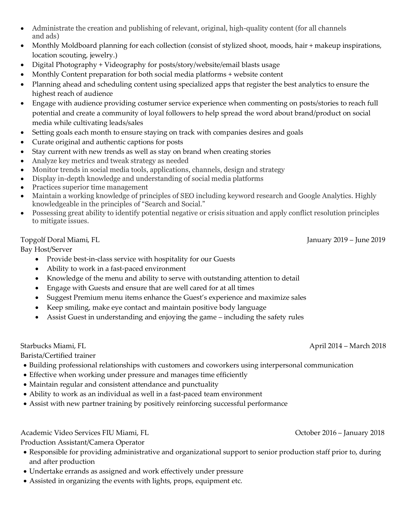- Administrate the creation and publishing of relevant, original, high-quality content (for all channels and ads)
- Monthly Moldboard planning for each collection (consist of stylized shoot, moods, hair + makeup inspirations, location scouting, jewelry.)
- Digital Photography + Videography for posts/story/website/email blasts usage
- Monthly Content preparation for both social media platforms + website content
- Planning ahead and scheduling content using specialized apps that register the best analytics to ensure the highest reach of audience
- Engage with audience providing costumer service experience when commenting on posts/stories to reach full potential and create a community of loyal followers to help spread the word about brand/product on social media while cultivating leads/sales
- Setting goals each month to ensure staying on track with companies desires and goals
- Curate original and authentic captions for posts
- Stay current with new trends as well as stay on brand when creating stories
- Analyze key metrics and tweak strategy as needed
- Monitor trends in social media tools, applications, channels, design and strategy
- Display in-depth knowledge and understanding of social media platforms
- Practices superior time management
- Maintain a working knowledge of principles of SEO including keyword research and Google Analytics. Highly knowledgeable in the principles of "Search and Social."
- Possessing great ability to identify potential negative or crisis situation and apply conflict resolution principles to mitigate issues.

# Topgolf Doral Miami, FL January 2019 – June 2019

Bay Host/Server

- Provide best-in-class service with hospitality for our Guests
- Ability to work in a fast-paced environment
- Knowledge of the menu and ability to serve with outstanding attention to detail
- Engage with Guests and ensure that are well cared for at all times
- Suggest Premium menu items enhance the Guest's experience and maximize sales
- Keep smiling, make eye contact and maintain positive body language
- Assist Guest in understanding and enjoying the game including the safety rules

Starbucks Miami, FL **April 2014** – March 2018

Barista/Certified trainer

- Building professional relationships with customers and coworkers using interpersonal communication
- Effective when working under pressure and manages time efficiently
- Maintain regular and consistent attendance and punctuality
- Ability to work as an individual as well in a fast-paced team environment
- Assist with new partner training by positively reinforcing successful performance

Academic Video Services FIU Miami, FL Contract Contract Contract Contract Contract October 2016 – January 2018

Production Assistant/Camera Operator

- Responsible for providing administrative and organizational support to senior production staff prior to, during and after production
- Undertake errands as assigned and work effectively under pressure
- Assisted in organizing the events with lights, props, equipment etc.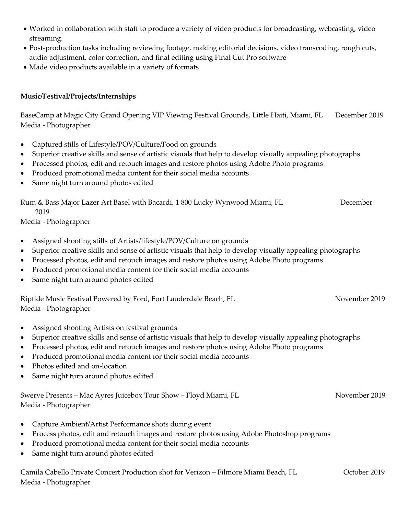- Worked in collaboration with staff to produce a variety of video products for broadcasting, webcasting, video streaming.
- Post-production tasks including reviewing footage, making editorial decisions, video transcoding, rough cuts, audio adjustment, color correction, and final editing using Final Cut Pro software
- Made video products available in a variety of formats

### **Music/Festival/Projects/Internships**

BaseCamp at Magic City Grand Opening VIP Viewing Festival Grounds, Little Haiti, Miami, FL December 2019 Media - Photographer

- Captured stills of Lifestyle/POV/Culture/Food on grounds
- Superior creative skills and sense of artistic visuals that help to develop visually appealing photographs
- Processed photos, edit and retouch images and restore photos using Adobe Photo programs
- Produced promotional media content for their social media accounts
- Same night turn around photos edited

Rum & Bass Major Lazer Art Basel with Bacardi, 1 800 Lucky Wynwood Miami, FL December

2019

Media - Photographer

- Assigned shooting stills of Artists/lifestyle/POV/Culture on grounds
- Superior creative skills and sense of artistic visuals that help to develop visually appealing photographs
- Processed photos, edit and retouch images and restore photos using Adobe Photo programs
- Produced promotional media content for their social media accounts
- Same night turn around photos edited

Riptide Music Festival Powered by Ford, Fort Lauderdale Beach, FL November 2019 Media - Photographer

- Assigned shooting Artists on festival grounds
- Superior creative skills and sense of artistic visuals that help to develop visually appealing photographs
- Processed photos, edit and retouch images and restore photos using Adobe Photo programs
- Produced promotional media content for their social media accounts
- Photos edited and on-location
- Same night turn around photos edited

Swerve Presents – Mac Ayres Juicebox Tour Show – Floyd Miami, FL November 2019 Media - Photographer

- Capture Ambient/Artist Performance shots during event
- Process photos, edit and retouch images and restore photos using Adobe Photoshop programs
- Produced promotional media content for their social media accounts
- Same night turn around photos edited

Camila Cabello Private Concert Production shot for Verizon – Filmore Miami Beach, FL October 2019 Media - Photographer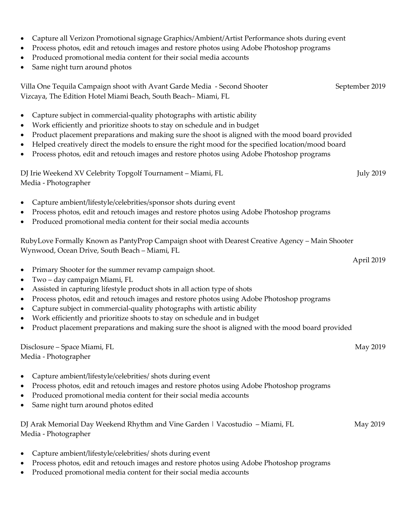- Capture all Verizon Promotional signage Graphics/Ambient/Artist Performance shots during event
- Process photos, edit and retouch images and restore photos using Adobe Photoshop programs
- Produced promotional media content for their social media accounts
- Same night turn around photos

| Villa One Tequila Campaign shoot with Avant Garde Media - Second Shooter | September 2019 |
|--------------------------------------------------------------------------|----------------|
| Vizcaya, The Edition Hotel Miami Beach, South Beach–Miami, FL            |                |

- Capture subject in commercial-quality photographs with artistic ability
- Work efficiently and prioritize shoots to stay on schedule and in budget
- Product placement preparations and making sure the shoot is aligned with the mood board provided
- Helped creatively direct the models to ensure the right mood for the specified location/mood board
	- Process photos, edit and retouch images and restore photos using Adobe Photoshop programs

DJ Irie Weekend XV Celebrity Topgolf Tournament – Miami, FL July 2019 Media - Photographer

- Capture ambient/lifestyle/celebrities/sponsor shots during event
- Process photos, edit and retouch images and restore photos using Adobe Photoshop programs
- Produced promotional media content for their social media accounts

RubyLove Formally Known as PantyProp Campaign shoot with Dearest Creative Agency – Main Shooter Wynwood, Ocean Drive, South Beach – Miami, FL

- Primary Shooter for the summer revamp campaign shoot.
- Two day campaign Miami, FL
- Assisted in capturing lifestyle product shots in all action type of shots
- Process photos, edit and retouch images and restore photos using Adobe Photoshop programs
- Capture subject in commercial-quality photographs with artistic ability
- Work efficiently and prioritize shoots to stay on schedule and in budget
- Product placement preparations and making sure the shoot is aligned with the mood board provided

Disclosure – Space Miami, FL May 2019 Media - Photographer

- Capture ambient/lifestyle/celebrities/ shots during event
- Process photos, edit and retouch images and restore photos using Adobe Photoshop programs
- Produced promotional media content for their social media accounts
- Same night turn around photos edited

| DJ Arak Memorial Day Weekend Rhythm and Vine Garden   Vacostudio - Miami, FL | May 2019 |
|------------------------------------------------------------------------------|----------|
| Media - Photographer                                                         |          |

- Capture ambient/lifestyle/celebrities/ shots during event
- Process photos, edit and retouch images and restore photos using Adobe Photoshop programs
- Produced promotional media content for their social media accounts

April 2019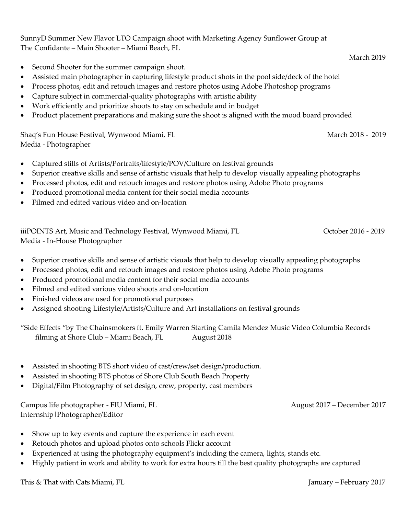SunnyD Summer New Flavor LTO Campaign shoot with Marketing Agency Sunflower Group at The Confidante – Main Shooter – Miami Beach, FL

- Second Shooter for the summer campaign shoot.
- Assisted main photographer in capturing lifestyle product shots in the pool side/deck of the hotel
- Process photos, edit and retouch images and restore photos using Adobe Photoshop programs
- Capture subject in commercial-quality photographs with artistic ability
- Work efficiently and prioritize shoots to stay on schedule and in budget
- Product placement preparations and making sure the shoot is aligned with the mood board provided

Shaq's Fun House Festival, Wynwood Miami, FL March 2018 - 2019 Media - Photographer

- Captured stills of Artists/Portraits/lifestyle/POV/Culture on festival grounds
- Superior creative skills and sense of artistic visuals that help to develop visually appealing photographs
- Processed photos, edit and retouch images and restore photos using Adobe Photo programs
- Produced promotional media content for their social media accounts
- Filmed and edited various video and on-location

iiiPOINTS Art, Music and Technology Festival, Wynwood Miami, FL Correct Correct Correct Politics 2016 - 2019 Media - In-House Photographer

- Superior creative skills and sense of artistic visuals that help to develop visually appealing photographs
- Processed photos, edit and retouch images and restore photos using Adobe Photo programs
- Produced promotional media content for their social media accounts
- Filmed and edited various video shoots and on-location
- Finished videos are used for promotional purposes
- Assigned shooting Lifestyle/Artists/Culture and Art installations on festival grounds

"Side Effects "by The Chainsmokers ft. Emily Warren Starting Camila Mendez Music Video Columbia Records filming at Shore Club – Miami Beach, FL August 2018

- Assisted in shooting BTS short video of cast/crew/set design/production.
- Assisted in shooting BTS photos of Shore Club South Beach Property
- Digital/Film Photography of set design, crew, property, cast members

Campus life photographer - FIU Miami, FL August 2017 – December 2017 Internship|Photographer/Editor

- Show up to key events and capture the experience in each event
- Retouch photos and upload photos onto schools Flickr account
- Experienced at using the photography equipment's including the camera, lights, stands etc.
- Highly patient in work and ability to work for extra hours till the best quality photographs are captured

March 2019